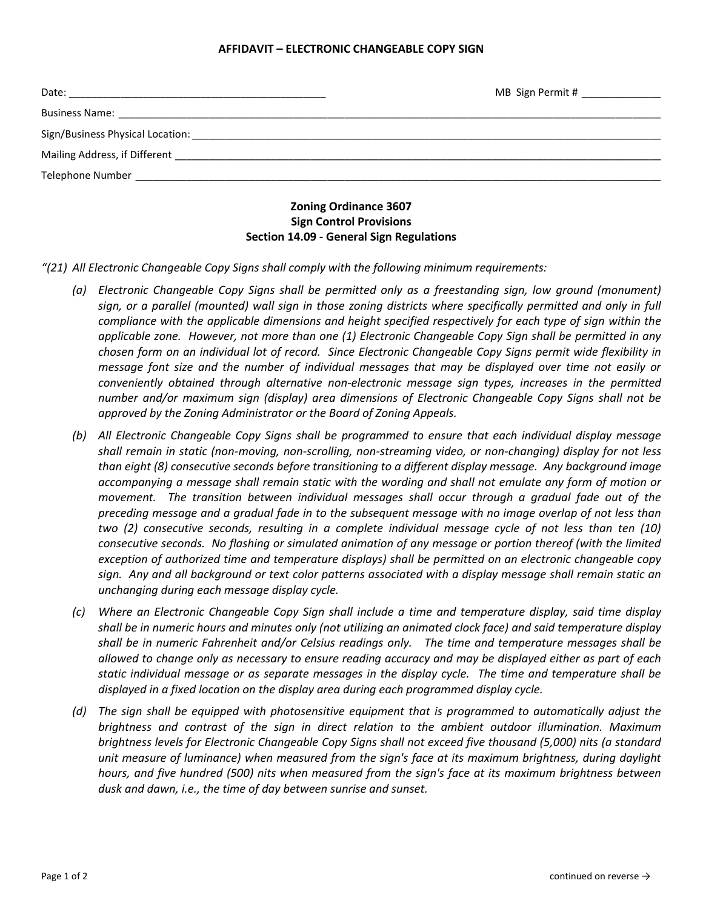## **AFFIDAVIT – ELECTRONIC CHANGEABLE COPY SIGN**

|                                                                                                                                                                                                                                     | MB Sign Permit # ______________                                                                               |  |  |  |
|-------------------------------------------------------------------------------------------------------------------------------------------------------------------------------------------------------------------------------------|---------------------------------------------------------------------------------------------------------------|--|--|--|
|                                                                                                                                                                                                                                     |                                                                                                               |  |  |  |
|                                                                                                                                                                                                                                     | Sign/Business Physical Location: Law Communication Communication of the Communication of the Communication of |  |  |  |
| Mailing Address, if Different <b>Example 20</b> and the state of the state of the state of the state of the state of the state of the state of the state of the state of the state of the state of the state of the state of the st |                                                                                                               |  |  |  |
|                                                                                                                                                                                                                                     |                                                                                                               |  |  |  |
| <b>Zoning Ordinance 3607</b>                                                                                                                                                                                                        |                                                                                                               |  |  |  |

## **Zoning Ordinance 3607 Sign Control Provisions Section 14.09 - General Sign Regulations**

*"(21) All Electronic Changeable Copy Signs shall comply with the following minimum requirements:*

- *(a) Electronic Changeable Copy Signs shall be permitted only as a freestanding sign, low ground (monument)*  sign, or a parallel (mounted) wall sign in those zoning districts where specifically permitted and only in full *compliance with the applicable dimensions and height specified respectively for each type of sign within the applicable zone. However, not more than one (1) Electronic Changeable Copy Sign shall be permitted in any chosen form on an individual lot of record. Since Electronic Changeable Copy Signs permit wide flexibility in message font size and the number of individual messages that may be displayed over time not easily or conveniently obtained through alternative non-electronic message sign types, increases in the permitted number and/or maximum sign (display) area dimensions of Electronic Changeable Copy Signs shall not be approved by the Zoning Administrator or the Board of Zoning Appeals.*
- *(b) All Electronic Changeable Copy Signs shall be programmed to ensure that each individual display message shall remain in static (non-moving, non-scrolling, non-streaming video, or non-changing) display for not less than eight (8) consecutive seconds before transitioning to a different display message. Any background image accompanying a message shall remain static with the wording and shall not emulate any form of motion or movement. The transition between individual messages shall occur through a gradual fade out of the preceding message and a gradual fade in to the subsequent message with no image overlap of not less than two (2) consecutive seconds, resulting in a complete individual message cycle of not less than ten (10) consecutive seconds. No flashing or simulated animation of any message or portion thereof (with the limited exception of authorized time and temperature displays) shall be permitted on an electronic changeable copy sign. Any and all background or text color patterns associated with a display message shall remain static an unchanging during each message display cycle.*
- *(c) Where an Electronic Changeable Copy Sign shall include a time and temperature display, said time display shall be in numeric hours and minutes only (not utilizing an animated clock face) and said temperature display shall be in numeric Fahrenheit and/or Celsius readings only. The time and temperature messages shall be allowed to change only as necessary to ensure reading accuracy and may be displayed either as part of each static individual message or as separate messages in the display cycle. The time and temperature shall be displayed in a fixed location on the display area during each programmed display cycle.*
- *(d) The sign shall be equipped with photosensitive equipment that is programmed to automatically adjust the brightness and contrast of the sign in direct relation to the ambient outdoor illumination. Maximum brightness levels for Electronic Changeable Copy Signs shall not exceed five thousand (5,000) nits (a standard unit measure of luminance) when measured from the sign's face at its maximum brightness, during daylight hours, and five hundred (500) nits when measured from the sign's face at its maximum brightness between dusk and dawn, i.e., the time of day between sunrise and sunset.*